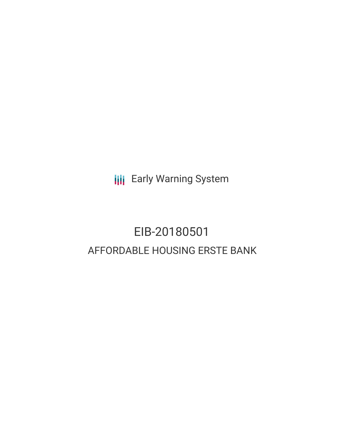**III** Early Warning System

# EIB-20180501 AFFORDABLE HOUSING ERSTE BANK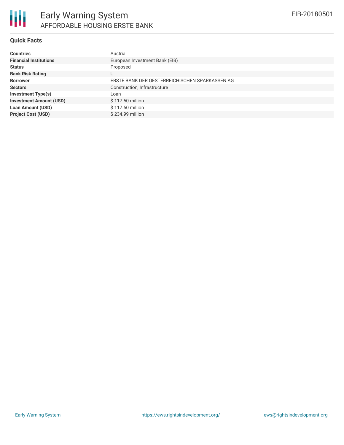

### **Quick Facts**

| <b>Countries</b>               | Austria                                        |
|--------------------------------|------------------------------------------------|
| <b>Financial Institutions</b>  | European Investment Bank (EIB)                 |
| <b>Status</b>                  | Proposed                                       |
| <b>Bank Risk Rating</b>        |                                                |
| <b>Borrower</b>                | ERSTE BANK DER OESTERREICHISCHEN SPARKASSEN AG |
| <b>Sectors</b>                 | Construction, Infrastructure                   |
| <b>Investment Type(s)</b>      | Loan                                           |
| <b>Investment Amount (USD)</b> | \$117.50 million                               |
| <b>Loan Amount (USD)</b>       | \$117.50 million                               |
| <b>Project Cost (USD)</b>      | \$234.99 million                               |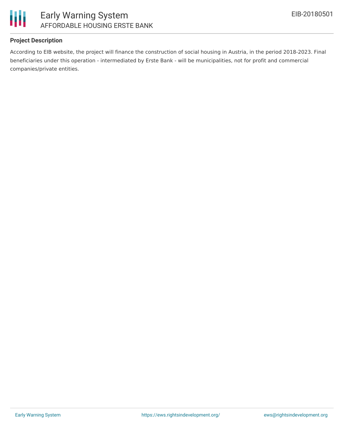

## **Project Description**

According to EIB website, the project will finance the construction of social housing in Austria, in the period 2018-2023. Final beneficiaries under this operation - intermediated by Erste Bank - will be municipalities, not for profit and commercial companies/private entities.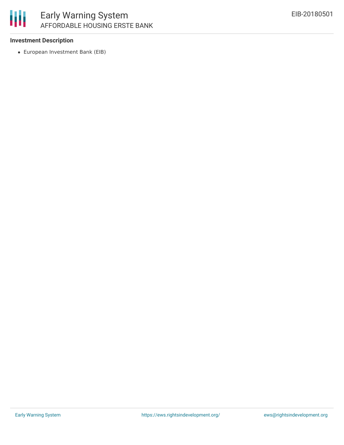

# Early Warning System AFFORDABLE HOUSING ERSTE BANK

### **Investment Description**

European Investment Bank (EIB)